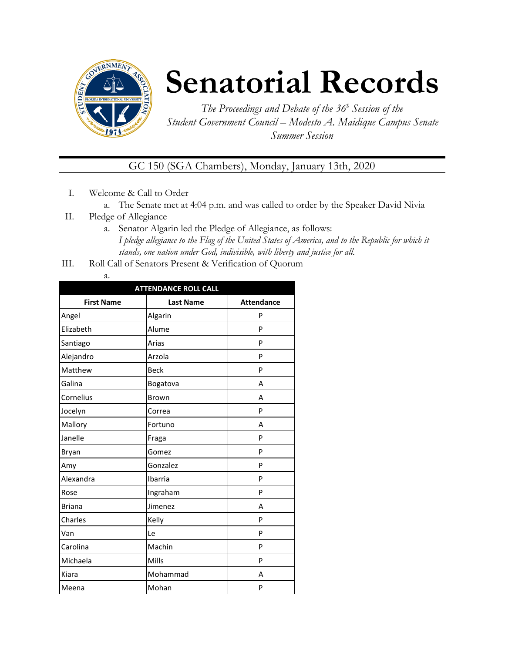

# **Senatorial Records**

*The Proceedings and Debate of the 36 <sup>h</sup> Session of the Student Government Council – Modesto A. Maidique Campus Senate Summer Session*

GC 150 (SGA Chambers), Monday, January 13th, 2020

- I. Welcome & Call to Order
	- a. The Senate met at 4:04 p.m. and was called to order by the Speaker David Nivia
- II. Pledge of Allegiance
	- a. Senator Algarin led the Pledge of Allegiance, as follows: *I pledge allegiance to the Flag of the United States of America, and to the Republic for which it stands, one nation under God, indivisible, with liberty and justice for all.*
- III. Roll Call of Senators Present & Verification of Quorum
	- a.

| <b>ATTENDANCE ROLL CALL</b> |                  |                   |  |  |  |  |
|-----------------------------|------------------|-------------------|--|--|--|--|
| <b>First Name</b>           | <b>Last Name</b> | <b>Attendance</b> |  |  |  |  |
| Angel                       | Algarin          | P                 |  |  |  |  |
| Elizabeth                   | Alume            | P                 |  |  |  |  |
| Santiago                    | Arias            | P                 |  |  |  |  |
| Alejandro                   | Arzola           | P                 |  |  |  |  |
| Matthew                     | <b>Beck</b>      | P                 |  |  |  |  |
| Galina                      | Bogatova         | А                 |  |  |  |  |
| Cornelius                   | <b>Brown</b>     | A                 |  |  |  |  |
| Jocelyn                     | Correa           | P                 |  |  |  |  |
| Mallory                     | Fortuno          | А                 |  |  |  |  |
| Janelle                     | Fraga            | P                 |  |  |  |  |
| Bryan                       | Gomez            | P                 |  |  |  |  |
| Amy                         | Gonzalez         | P                 |  |  |  |  |
| Alexandra                   | Ibarria          | P                 |  |  |  |  |
| Rose                        | Ingraham         | P                 |  |  |  |  |
| <b>Briana</b>               | Jimenez          | A                 |  |  |  |  |
| Charles                     | Kelly            | P                 |  |  |  |  |
| Van                         | Le               | P                 |  |  |  |  |
| Carolina                    | Machin           | P                 |  |  |  |  |
| Michaela                    | Mills            | P                 |  |  |  |  |
| Kiara                       | Mohammad         | А                 |  |  |  |  |
| Meena                       | Mohan            | P                 |  |  |  |  |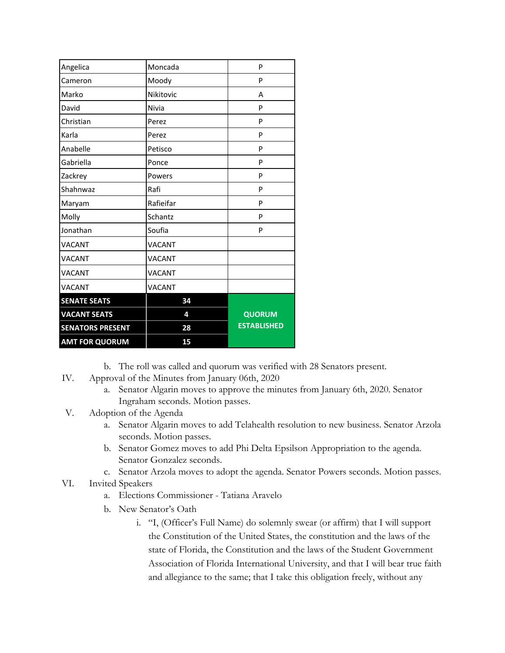| Angelica                | Moncada       | P                  |
|-------------------------|---------------|--------------------|
| Cameron                 | Moody         | P                  |
| Marko                   | Nikitovic     | A                  |
| David                   | Nivia         | P                  |
| Christian               | Perez         | P                  |
| Karla                   | Perez         | P                  |
| Anabelle                | Petisco       | P                  |
| Gabriella               | Ponce         | P                  |
| Zackrey                 | Powers        | P                  |
| Shahnwaz                | Rafi          | P                  |
| Maryam                  | Rafieifar     | P                  |
| Molly                   | Schantz       | P                  |
| Jonathan                | Soufia        | P                  |
| <b>VACANT</b>           | <b>VACANT</b> |                    |
| <b>VACANT</b>           | <b>VACANT</b> |                    |
| <b>VACANT</b>           | <b>VACANT</b> |                    |
| <b>VACANT</b>           | <b>VACANT</b> |                    |
| <b>SENATE SEATS</b>     | 34            |                    |
| <b>VACANT SEATS</b>     | 4             | <b>QUORUM</b>      |
| <b>SENATORS PRESENT</b> | 28            | <b>ESTABLISHED</b> |
| <b>AMT FOR QUORUM</b>   | 15            |                    |

b. The roll was called and quorum was verified with 28 Senators present.

- IV. Approval of the Minutes from January 06th, 2020
	- a. Senator Algarin moves to approve the minutes from January 6th, 2020. Senator Ingraham seconds. Motion passes.
- V. Adoption of the Agenda
	- a. Senator Algarin moves to add Telahealth resolution to new business. Senator Arzola seconds. Motion passes.
	- b. Senator Gomez moves to add Phi Delta Epsilson Appropriation to the agenda. Senator Gonzalez seconds.
	- c. Senator Arzola moves to adopt the agenda. Senator Powers seconds. Motion passes.
- VI. Invited Speakers
	- a. Elections Commissioner Tatiana Aravelo
	- b. New Senator's Oath
		- i. "I, (Officer's Full Name) do solemnly swear (or affirm) that I will support the Constitution of the United States, the constitution and the laws of the state of Florida, the Constitution and the laws of the Student Government Association of Florida International University, and that I will bear true faith and allegiance to the same; that I take this obligation freely, without any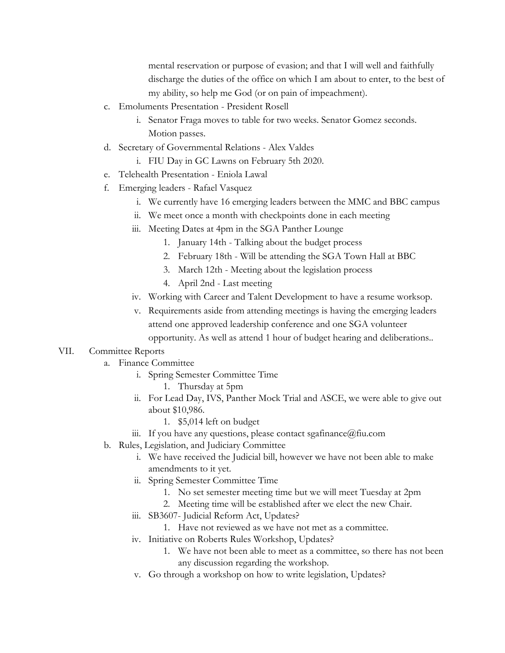mental reservation or purpose of evasion; and that I will well and faithfully discharge the duties of the office on which I am about to enter, to the best of my ability, so help me God (or on pain of impeachment).

- c. Emoluments Presentation President Rosell
	- i. Senator Fraga moves to table for two weeks. Senator Gomez seconds. Motion passes.
- d. Secretary of Governmental Relations Alex Valdes
	- i. FIU Day in GC Lawns on February 5th 2020.
- e. Telehealth Presentation Eniola Lawal
- f. Emerging leaders Rafael Vasquez
	- i. We currently have 16 emerging leaders between the MMC and BBC campus
	- ii. We meet once a month with checkpoints done in each meeting
	- iii. Meeting Dates at 4pm in the SGA Panther Lounge
		- 1. January 14th Talking about the budget process
		- 2. February 18th Will be attending the SGA Town Hall at BBC
		- 3. March 12th Meeting about the legislation process
		- 4. April 2nd Last meeting
	- iv. Working with Career and Talent Development to have a resume worksop.
	- v. Requirements aside from attending meetings is having the emerging leaders attend one approved leadership conference and one SGA volunteer opportunity. As well as attend 1 hour of budget hearing and deliberations..

### VII. Committee Reports

- a. Finance Committee
	- i. Spring Semester Committee Time
		- 1. Thursday at 5pm
	- ii. For Lead Day, IVS, Panther Mock Trial and ASCE, we were able to give out about \$10,986.
		- 1. \$5,014 left on budget
	- iii. If you have any questions, please contact sgafinance  $@$  fiu.com
- b. Rules, Legislation, and Judiciary Committee
	- i. We have received the Judicial bill, however we have not been able to make amendments to it yet.
	- ii. Spring Semester Committee Time
		- 1. No set semester meeting time but we will meet Tuesday at 2pm
		- 2. Meeting time will be established after we elect the new Chair.
	- iii. SB3607- Judicial Reform Act, Updates?
		- 1. Have not reviewed as we have not met as a committee.
	- iv. Initiative on Roberts Rules Workshop, Updates?
		- 1. We have not been able to meet as a committee, so there has not been any discussion regarding the workshop.
	- v. Go through a workshop on how to write legislation, Updates?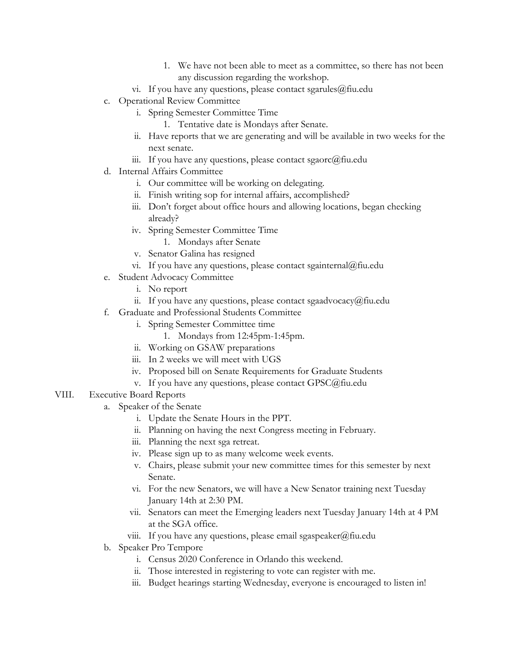- 1. We have not been able to meet as a committee, so there has not been any discussion regarding the workshop.
- vi. If you have any questions, please contact sgarules@fiu.edu
- c. Operational Review Committee
	- i. Spring Semester Committee Time
		- 1. Tentative date is Mondays after Senate.
	- ii. Have reports that we are generating and will be available in two weeks for the next senate.
	- iii. If you have any questions, please contact sgaorc@fiu.edu
- d. Internal Affairs Committee
	- i. Our committee will be working on delegating.
	- ii. Finish writing sop for internal affairs, accomplished?
	- iii. Don't forget about office hours and allowing locations, began checking already?
	- iv. Spring Semester Committee Time
		- 1. Mondays after Senate
	- v. Senator Galina has resigned
	- vi. If you have any questions, please contact sgainternal@fiu.edu
- e. Student Advocacy Committee
	- i. No report
	- ii. If you have any questions, please contact sgaadvocacy@fiu.edu
- f. Graduate and Professional Students Committee
	- i. Spring Semester Committee time
		- 1. Mondays from 12:45pm-1:45pm.
	- ii. Working on GSAW preparations
	- iii. In 2 weeks we will meet with UGS
	- iv. Proposed bill on Senate Requirements for Graduate Students
	- v. If you have any questions, please contact GPSC@fiu.edu
- VIII. Executive Board Reports
	- a. Speaker of the Senate
		- i. Update the Senate Hours in the PPT.
		- ii. Planning on having the next Congress meeting in February.
		- iii. Planning the next sga retreat.
		- iv. Please sign up to as many welcome week events.
		- v. Chairs, please submit your new committee times for this semester by next Senate.
		- vi. For the new Senators, we will have a New Senator training next Tuesday January 14th at 2:30 PM.
		- vii. Senators can meet the Emerging leaders next Tuesday January 14th at 4 PM at the SGA office.
		- viii. If you have any questions, please email sgaspeaker@fiu.edu
	- b. Speaker Pro Tempore
		- i. Census 2020 Conference in Orlando this weekend.
		- ii. Those interested in registering to vote can register with me.
		- iii. Budget hearings starting Wednesday, everyone is encouraged to listen in!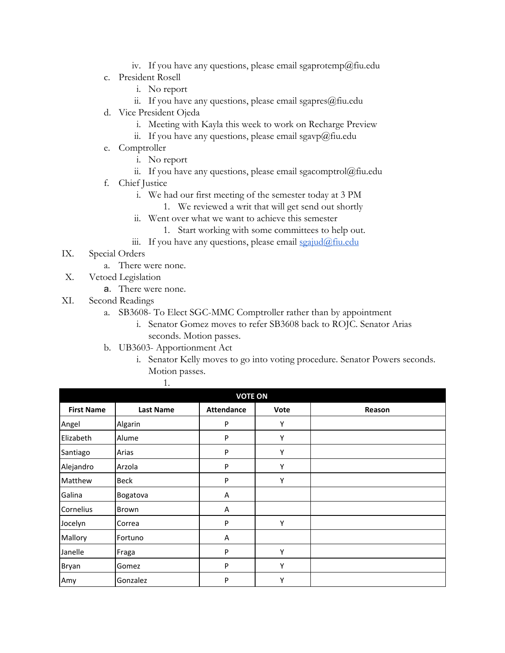- iv. If you have any questions, please email sgaprotemp@fiu.edu
- c. President Rosell
	- i. No report
	- ii. If you have any questions, please email sgapres@fiu.edu
- d. Vice President Ojeda
	- i. Meeting with Kayla this week to work on Recharge Preview
	- ii. If you have any questions, please email sgavp@fiu.edu
- e. Comptroller
	- i. No report
	- ii. If you have any questions, please email sgacomptrol@fiu.edu
- f. Chief Justice
	- i. We had our first meeting of the semester today at 3 PM
		- 1. We reviewed a writ that will get send out shortly
	- ii. Went over what we want to achieve this semester
		- 1. Start working with some committees to help out.
	- iii. If you have any questions, please email  $\frac{q}{q}$  seajud $\frac{\partial}{\partial q}$  fiu.edu
- IX. Special Orders
	- a. There were none.
- X. Vetoed Legislation
	- a. There were none.
- XI. Second Readings
	- a. SB3608- To Elect SGC-MMC Comptroller rather than by appointment
		- i. Senator Gomez moves to refer SB3608 back to ROJC. Senator Arias seconds. Motion passes.
	- b. UB3603- Apportionment Act
		- i. Senator Kelly moves to go into voting procedure. Senator Powers seconds. Motion passes.

|--|

| <b>VOTE ON</b>    |                  |                   |      |        |  |
|-------------------|------------------|-------------------|------|--------|--|
| <b>First Name</b> | <b>Last Name</b> | <b>Attendance</b> | Vote | Reason |  |
| Angel             | Algarin          | P                 | Y    |        |  |
| Elizabeth         | Alume            | P                 | Υ    |        |  |
| Santiago          | Arias            | P                 | Υ    |        |  |
| Alejandro         | Arzola           | P                 | Υ    |        |  |
| Matthew           | <b>Beck</b>      | P                 | Υ    |        |  |
| Galina            | Bogatova         | A                 |      |        |  |
| Cornelius         | Brown            | Α                 |      |        |  |
| Jocelyn           | Correa           | P                 | Υ    |        |  |
| Mallory           | Fortuno          | A                 |      |        |  |
| Janelle           | Fraga            | P                 | Υ    |        |  |
| Bryan             | Gomez            | P                 | Υ    |        |  |
| Amy               | Gonzalez         | P                 | Υ    |        |  |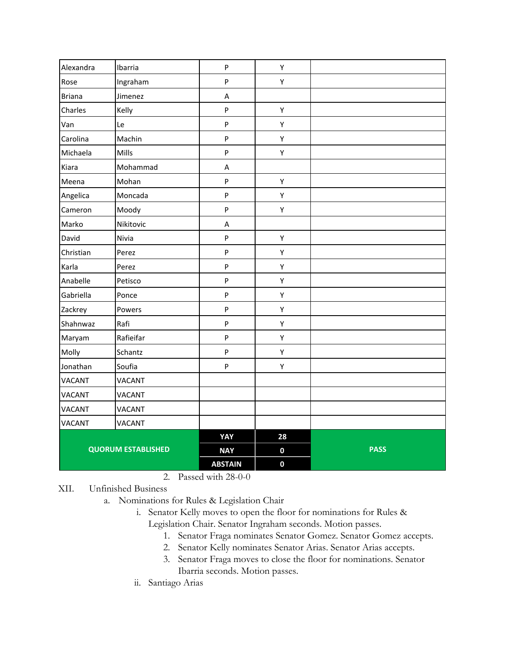| Alexandra     | Ibarria                   | ${\sf P}$                 | Υ           |             |
|---------------|---------------------------|---------------------------|-------------|-------------|
| Rose          | Ingraham                  | ${\sf P}$                 | Υ           |             |
| <b>Briana</b> | Jimenez                   | $\sf A$                   |             |             |
| Charles       | Kelly                     | $\boldsymbol{\mathsf{P}}$ | Υ           |             |
| Van           | Le                        | $\boldsymbol{\mathsf{P}}$ | Υ           |             |
| Carolina      | Machin                    | $\boldsymbol{\mathsf{P}}$ | Υ           |             |
| Michaela      | Mills                     | $\sf P$                   | Υ           |             |
| Kiara         | Mohammad                  | A                         |             |             |
| Meena         | Mohan                     | $\sf P$                   | Υ           |             |
| Angelica      | Moncada                   | ${\sf P}$                 | Υ           |             |
| Cameron       | Moody                     | $\boldsymbol{\mathsf{P}}$ | Υ           |             |
| Marko         | Nikitovic                 | A                         |             |             |
| David         | Nivia                     | $\boldsymbol{\mathsf{P}}$ | Υ           |             |
| Christian     | Perez                     | ${\sf P}$                 | Υ           |             |
| Karla         | Perez                     | ${\sf P}$                 | Υ           |             |
| Anabelle      | Petisco                   | $\boldsymbol{\mathsf{P}}$ | Υ           |             |
| Gabriella     | Ponce                     | $\boldsymbol{\mathsf{P}}$ | Υ           |             |
| Zackrey       | Powers                    | $\boldsymbol{\mathsf{P}}$ | Υ           |             |
| Shahnwaz      | Rafi                      | ${\sf P}$                 | Υ           |             |
| Maryam        | Rafieifar                 | $\sf P$                   | Υ           |             |
| Molly         | Schantz                   | ${\sf P}$                 | Υ           |             |
| Jonathan      | Soufia                    | $\boldsymbol{\mathsf{P}}$ | Υ           |             |
| <b>VACANT</b> | <b>VACANT</b>             |                           |             |             |
| <b>VACANT</b> | <b>VACANT</b>             |                           |             |             |
| <b>VACANT</b> | <b>VACANT</b>             |                           |             |             |
| <b>VACANT</b> | VACANT                    |                           |             |             |
|               |                           | YAY                       | 28          |             |
|               | <b>QUORUM ESTABLISHED</b> | <b>NAY</b>                | $\mathbf 0$ | <b>PASS</b> |
|               |                           | <b>ABSTAIN</b>            | $\mathbf 0$ |             |

2. Passed with 28-0-0

XII. Unfinished Business

a. Nominations for Rules & Legislation Chair

- i. Senator Kelly moves to open the floor for nominations for Rules & Legislation Chair. Senator Ingraham seconds. Motion passes.
	- 1. Senator Fraga nominates Senator Gomez. Senator Gomez accepts.
	- 2. Senator Kelly nominates Senator Arias. Senator Arias accepts.
	- 3. Senator Fraga moves to close the floor for nominations. Senator Ibarria seconds. Motion passes.
- ii. Santiago Arias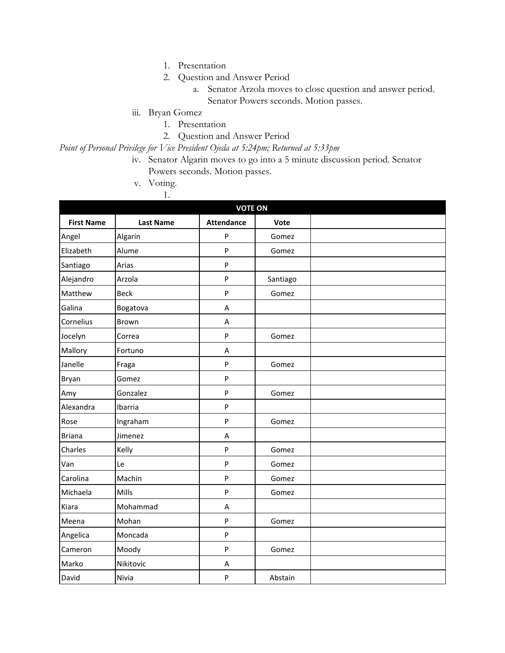- 1. Presentation
- 2. Question and Answer Period
	- a. Senator Arzola moves to close question and answer period. Senator Powers seconds. Motion passes.
- iii. Bryan Gomez
	- 1. Presentation
	- 2. Question and Answer Period

*Point of Personal Privilege for Vice President Ojeda at 5:24pm; Returned at 5:33pm*

- iv. Senator Algarin moves to go into a 5 minute discussion period. Senator Powers seconds. Motion passes.
- v. Voting.

1.

|                   |                  | <b>VOTE ON</b>    |          |  |  |  |
|-------------------|------------------|-------------------|----------|--|--|--|
| <b>First Name</b> | <b>Last Name</b> | <b>Attendance</b> | Vote     |  |  |  |
| Angel             | Algarin          | $\mathsf{P}$      | Gomez    |  |  |  |
| Elizabeth         | Alume            | $\mathsf{P}$      | Gomez    |  |  |  |
| Santiago          | Arias            | $\sf P$           |          |  |  |  |
| Alejandro         | Arzola           | $\sf P$           | Santiago |  |  |  |
| Matthew           | <b>Beck</b>      | $\mathsf{P}$      | Gomez    |  |  |  |
| Galina            | Bogatova         | Α                 |          |  |  |  |
| Cornelius         | Brown            | $\overline{A}$    |          |  |  |  |
| Jocelyn           | Correa           | $\sf P$           | Gomez    |  |  |  |
| Mallory           | Fortuno          | A                 |          |  |  |  |
| Janelle           | Fraga            | $\mathsf{P}$      | Gomez    |  |  |  |
| Bryan             | Gomez            | $\sf P$           |          |  |  |  |
| Amy               | Gonzalez         | $\sf P$           | Gomez    |  |  |  |
| Alexandra         | Ibarria          | $\sf P$           |          |  |  |  |
| Rose              | Ingraham         | $\mathsf{P}$      | Gomez    |  |  |  |
| <b>Briana</b>     | Jimenez          | A                 |          |  |  |  |
| Charles           | Kelly            | $\sf P$           | Gomez    |  |  |  |
| Van               | Le               | $\sf P$           | Gomez    |  |  |  |
| Carolina          | Machin           | $\mathsf{P}$      | Gomez    |  |  |  |
| Michaela          | Mills            | $\mathsf{P}$      | Gomez    |  |  |  |
| Kiara             | Mohammad         | A                 |          |  |  |  |
| Meena             | Mohan            | $\mathsf{P}$      | Gomez    |  |  |  |
| Angelica          | Moncada          | $\mathsf{P}$      |          |  |  |  |
| Cameron           | Moody            | $\sf P$           | Gomez    |  |  |  |
| Marko             | Nikitovic        | $\sf A$           |          |  |  |  |
| David             | Nivia            | ${\sf P}$         | Abstain  |  |  |  |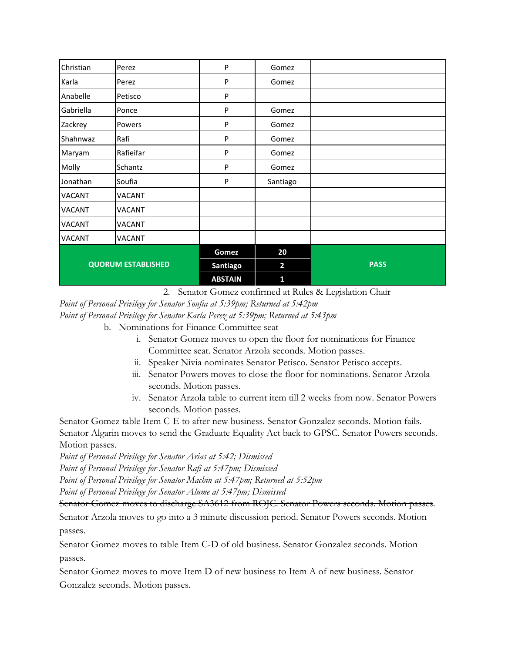| Christian                 | Perez     | P              | Gomez          |             |
|---------------------------|-----------|----------------|----------------|-------------|
| Karla                     | Perez     | P              | Gomez          |             |
| Anabelle                  | Petisco   | ${\sf P}$      |                |             |
| Gabriella                 | Ponce     | P              | Gomez          |             |
| Zackrey                   | Powers    | P              | Gomez          |             |
| Shahnwaz                  | Rafi      | P              | Gomez          |             |
| Maryam                    | Rafieifar | P              | Gomez          |             |
| Molly                     | Schantz   | P              | Gomez          |             |
| Jonathan                  | Soufia    | P              | Santiago       |             |
| <b>VACANT</b>             | VACANT    |                |                |             |
| VACANT                    | VACANT    |                |                |             |
| <b>VACANT</b>             | VACANT    |                |                |             |
| <b>VACANT</b>             | VACANT    |                |                |             |
| <b>QUORUM ESTABLISHED</b> |           | Gomez          | 20             |             |
|                           |           | Santiago       | $\overline{2}$ | <b>PASS</b> |
|                           |           | <b>ABSTAIN</b> | $\mathbf{1}$   |             |

2. Senator Gomez confirmed at Rules & Legislation Chair

*Point of Personal Privilege for Senator Soufia at 5:39pm; Returned at 5:42pm*

- *Point of Personal Privilege for Senator Karla Perez at 5:39pm; Returned at 5:43pm*
	- b. Nominations for Finance Committee seat
		- i. Senator Gomez moves to open the floor for nominations for Finance Committee seat. Senator Arzola seconds. Motion passes.
		- ii. Speaker Nivia nominates Senator Petisco. Senator Petisco accepts.
		- iii. Senator Powers moves to close the floor for nominations. Senator Arzola seconds. Motion passes.
		- iv. Senator Arzola table to current item till 2 weeks from now. Senator Powers seconds. Motion passes.

Senator Gomez table Item C-E to after new business. Senator Gonzalez seconds. Motion fails. Senator Algarin moves to send the Graduate Equality Act back to GPSC. Senator Powers seconds. Motion passes.

*Point of Personal Privilege for Senator Arias at 5:42; Dismissed*

*Point of Personal Privilege for Senator Rafi at 5:47pm; Dismissed*

*Point of Personal Privilege for Senator Machin at 5:47pm; Returned at 5:52pm*

*Point of Personal Privilege for Senator Alume at 5:47pm; Dismissed*

Senator Gomez moves to discharge SA3612 from ROJC. Senator Powers seconds. Motion passes.

Senator Arzola moves to go into a 3 minute discussion period. Senator Powers seconds. Motion passes.

Senator Gomez moves to table Item C-D of old business. Senator Gonzalez seconds. Motion passes.

Senator Gomez moves to move Item D of new business to Item A of new business. Senator Gonzalez seconds. Motion passes.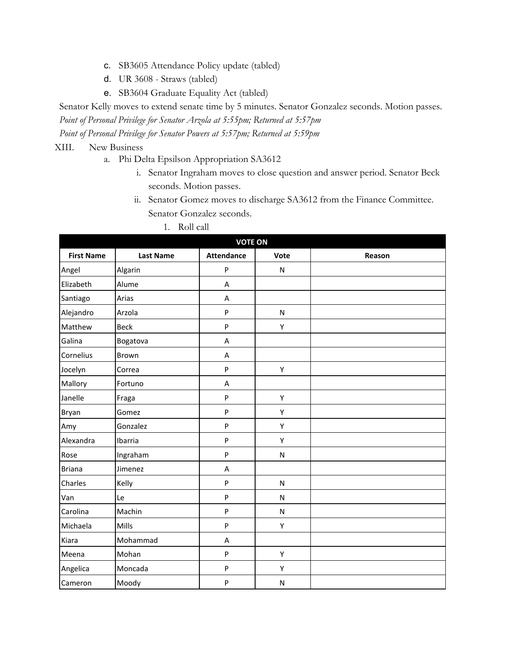- c. SB3605 Attendance Policy update (tabled)
- d. UR 3608 Straws (tabled)
- e. SB3604 Graduate Equality Act (tabled)

Senator Kelly moves to extend senate time by 5 minutes. Senator Gonzalez seconds. Motion passes. *Point of Personal Privilege for Senator Arzola at 5:55pm; Returned at 5:57pm*

*Point of Personal Privilege for Senator Powers at 5:57pm; Returned at 5:59pm*

### XIII. New Business

- a. Phi Delta Epsilson Appropriation SA3612
	- i. Senator Ingraham moves to close question and answer period. Senator Beck seconds. Motion passes.
	- ii. Senator Gomez moves to discharge SA3612 from the Finance Committee. Senator Gonzalez seconds.
		- 1. Roll call

| <b>VOTE ON</b>    |                  |                   |              |        |  |
|-------------------|------------------|-------------------|--------------|--------|--|
| <b>First Name</b> | <b>Last Name</b> | <b>Attendance</b> | Vote         | Reason |  |
| Angel             | Algarin          | ${\sf P}$         | ${\sf N}$    |        |  |
| Elizabeth         | Alume            | A                 |              |        |  |
| Santiago          | Arias            | A                 |              |        |  |
| Alejandro         | Arzola           | P                 | $\mathsf{N}$ |        |  |
| Matthew           | <b>Beck</b>      | P                 | Υ            |        |  |
| Galina            | Bogatova         | A                 |              |        |  |
| Cornelius         | Brown            | $\sf A$           |              |        |  |
| Jocelyn           | Correa           | ${\sf P}$         | Υ            |        |  |
| Mallory           | Fortuno          | A                 |              |        |  |
| Janelle           | Fraga            | ${\sf P}$         | Υ            |        |  |
| Bryan             | Gomez            | ${\sf P}$         | Υ            |        |  |
| Amy               | Gonzalez         | $\sf P$           | Υ            |        |  |
| Alexandra         | Ibarria          | ${\sf P}$         | Υ            |        |  |
| Rose              | Ingraham         | ${\sf P}$         | ${\sf N}$    |        |  |
| <b>Briana</b>     | Jimenez          | A                 |              |        |  |
| Charles           | Kelly            | ${\sf P}$         | ${\sf N}$    |        |  |
| Van               | Le               | ${\sf P}$         | N            |        |  |
| Carolina          | Machin           | $\sf P$           | N            |        |  |
| Michaela          | Mills            | ${\sf P}$         | Υ            |        |  |
| Kiara             | Mohammad         | A                 |              |        |  |
| Meena             | Mohan            | ${\sf P}$         | Υ            |        |  |
| Angelica          | Moncada          | ${\sf P}$         | Υ            |        |  |
| Cameron           | Moody            | ${\sf P}$         | ${\sf N}$    |        |  |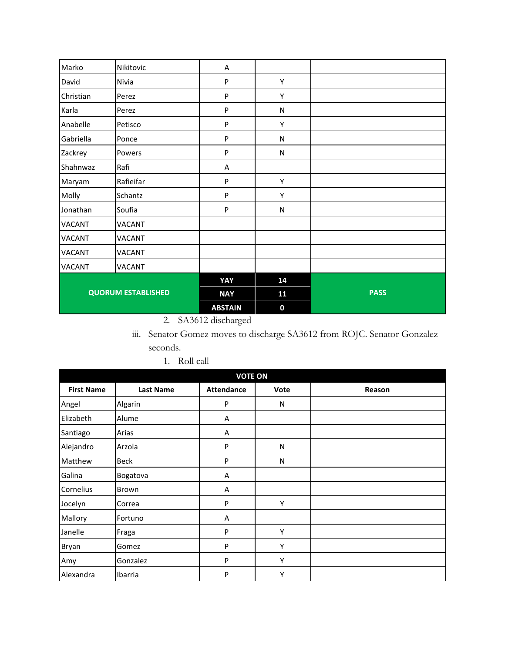| Marko                     | Nikitovic     | A              |             |             |
|---------------------------|---------------|----------------|-------------|-------------|
| David                     | Nivia         | P              | Υ           |             |
| Christian                 | Perez         | P              | Υ           |             |
| Karla                     | Perez         | ${\sf P}$      | N           |             |
| Anabelle                  | Petisco       | P              | Y           |             |
| Gabriella                 | Ponce         | P              | ${\sf N}$   |             |
| Zackrey                   | Powers        | ${\sf P}$      | ${\sf N}$   |             |
| Shahnwaz                  | Rafi          | A              |             |             |
| Maryam                    | Rafieifar     | P              | Υ           |             |
| Molly                     | Schantz       | P              | Y           |             |
| Jonathan                  | Soufia        | P              | N           |             |
| <b>VACANT</b>             | <b>VACANT</b> |                |             |             |
| <b>VACANT</b>             | VACANT        |                |             |             |
| <b>VACANT</b>             | VACANT        |                |             |             |
| <b>VACANT</b>             | <b>VACANT</b> |                |             |             |
|                           |               | YAY            | 14          |             |
| <b>QUORUM ESTABLISHED</b> |               | <b>NAY</b>     | 11          | <b>PASS</b> |
|                           |               | <b>ABSTAIN</b> | $\mathbf 0$ |             |

2. SA3612 discharged

iii. Senator Gomez moves to discharge SA3612 from ROJC. Senator Gonzalez seconds.

| <b>VOTE ON</b>    |                  |                   |      |        |  |
|-------------------|------------------|-------------------|------|--------|--|
| <b>First Name</b> | <b>Last Name</b> | <b>Attendance</b> | Vote | Reason |  |
| Angel             | Algarin          | P                 | N    |        |  |
| Elizabeth         | Alume            | Α                 |      |        |  |
| Santiago          | Arias            | A                 |      |        |  |
| Alejandro         | Arzola           | P                 | N    |        |  |
| Matthew           | Beck             | P                 | N    |        |  |
| Galina            | Bogatova         | A                 |      |        |  |
| Cornelius         | Brown            | A                 |      |        |  |
| Jocelyn           | Correa           | P                 | Υ    |        |  |
| Mallory           | Fortuno          | A                 |      |        |  |
| Janelle           | Fraga            | P                 | Υ    |        |  |
| Bryan             | Gomez            | P                 | Υ    |        |  |
| Amy               | Gonzalez         | P                 | Υ    |        |  |
| Alexandra         | Ibarria          | P                 | Υ    |        |  |

1. Roll call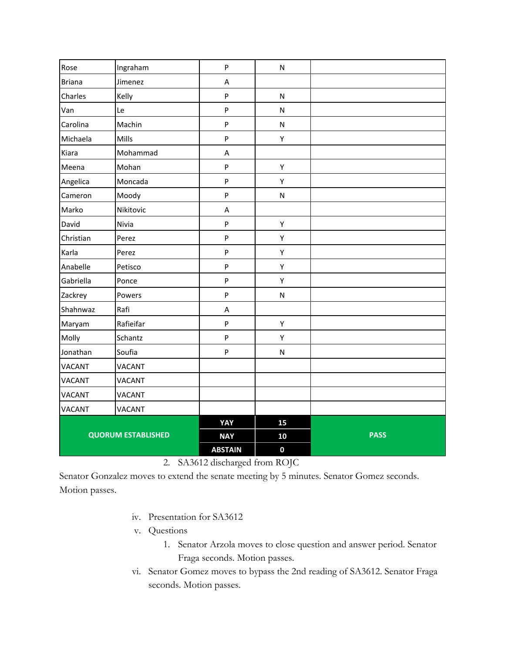| Rose                      | Ingraham      | ${\sf P}$                 | ${\sf N}$    |             |
|---------------------------|---------------|---------------------------|--------------|-------------|
| <b>Briana</b>             | Jimenez       | A                         |              |             |
| Charles                   | Kelly         | $\sf P$                   | $\mathsf{N}$ |             |
| Van                       | Le            | ${\sf P}$                 | ${\sf N}$    |             |
| Carolina                  | Machin        | $\boldsymbol{\mathsf{P}}$ | ${\sf N}$    |             |
| Michaela                  | Mills         | $\sf P$                   | Υ            |             |
| Kiara                     | Mohammad      | A                         |              |             |
| Meena                     | Mohan         | $\boldsymbol{\mathsf{P}}$ | Υ            |             |
| Angelica                  | Moncada       | ${\sf P}$                 | Υ            |             |
| Cameron                   | Moody         | ${\sf P}$                 | ${\sf N}$    |             |
| Marko                     | Nikitovic     | $\boldsymbol{\mathsf{A}}$ |              |             |
| David                     | Nivia         | ${\sf P}$                 | Υ            |             |
| Christian                 | Perez         | $\sf P$                   | Υ            |             |
| Karla                     | Perez         | ${\sf P}$                 | Υ            |             |
| Anabelle                  | Petisco       | $\mathsf{P}$              | Υ            |             |
| Gabriella                 | Ponce         | $\boldsymbol{\mathsf{P}}$ | Υ            |             |
| Zackrey                   | Powers        | $\sf P$                   | ${\sf N}$    |             |
| Shahnwaz                  | Rafi          | A                         |              |             |
| Maryam                    | Rafieifar     | ${\sf P}$                 | Υ            |             |
| Molly                     | Schantz       | ${\sf P}$                 | Υ            |             |
| Jonathan                  | Soufia        | ${\sf P}$                 | ${\sf N}$    |             |
| <b>VACANT</b>             | VACANT        |                           |              |             |
| <b>VACANT</b>             | <b>VACANT</b> |                           |              |             |
| <b>VACANT</b>             | <b>VACANT</b> |                           |              |             |
| <b>VACANT</b>             | VACANT        |                           |              |             |
|                           |               | YAY                       | 15           |             |
| <b>QUORUM ESTABLISHED</b> |               | <b>NAY</b>                | 10           | <b>PASS</b> |
|                           |               | <b>ABSTAIN</b>            | $\mathbf 0$  |             |

2. SA3612 discharged from ROJC

Senator Gonzalez moves to extend the senate meeting by 5 minutes. Senator Gomez seconds. Motion passes.

- iv. Presentation for SA3612
- v. Questions
	- 1. Senator Arzola moves to close question and answer period. Senator Fraga seconds. Motion passes.
- vi. Senator Gomez moves to bypass the 2nd reading of SA3612. Senator Fraga seconds. Motion passes.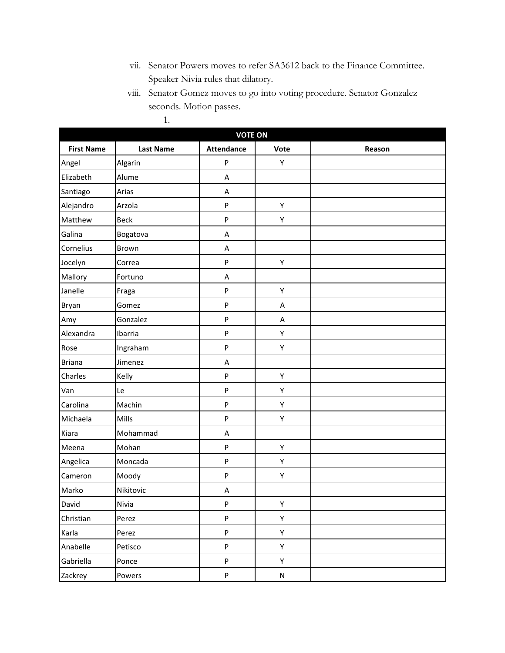- vii. Senator Powers moves to refer SA3612 back to the Finance Committee. Speaker Nivia rules that dilatory.
- viii. Senator Gomez moves to go into voting procedure. Senator Gonzalez seconds. Motion passes.

| <b>VOTE ON</b>    |                  |                   |           |        |  |
|-------------------|------------------|-------------------|-----------|--------|--|
| <b>First Name</b> | <b>Last Name</b> | <b>Attendance</b> | Vote      | Reason |  |
| Angel             | Algarin          | ${\sf P}$         | Υ         |        |  |
| Elizabeth         | Alume            | Α                 |           |        |  |
| Santiago          | Arias            | A                 |           |        |  |
| Alejandro         | Arzola           | ${\sf P}$         | Υ         |        |  |
| Matthew           | <b>Beck</b>      | ${\sf P}$         | Υ         |        |  |
| Galina            | Bogatova         | A                 |           |        |  |
| Cornelius         | Brown            | A                 |           |        |  |
| Jocelyn           | Correa           | ${\sf P}$         | Υ         |        |  |
| Mallory           | Fortuno          | A                 |           |        |  |
| Janelle           | Fraga            | ${\sf P}$         | Υ         |        |  |
| Bryan             | Gomez            | ${\sf P}$         | A         |        |  |
| Amy               | Gonzalez         | ${\sf P}$         | А         |        |  |
| Alexandra         | Ibarria          | ${\sf P}$         | Υ         |        |  |
| Rose              | Ingraham         | ${\sf P}$         | Υ         |        |  |
| <b>Briana</b>     | Jimenez          | Α                 |           |        |  |
| Charles           | Kelly            | ${\sf P}$         | Υ         |        |  |
| Van               | Le               | ${\sf P}$         | Υ         |        |  |
| Carolina          | Machin           | ${\sf P}$         | Υ         |        |  |
| Michaela          | Mills            | ${\sf P}$         | Υ         |        |  |
| Kiara             | Mohammad         | Α                 |           |        |  |
| Meena             | Mohan            | ${\sf P}$         | Υ         |        |  |
| Angelica          | Moncada          | ${\sf P}$         | Υ         |        |  |
| Cameron           | Moody            | ${\sf P}$         | Υ         |        |  |
| Marko             | Nikitovic        | Α                 |           |        |  |
| David             | Nivia            | ${\sf P}$         | Υ         |        |  |
| Christian         | Perez            | ${\sf P}$         | Υ         |        |  |
| Karla             | Perez            | ${\sf P}$         | Υ         |        |  |
| Anabelle          | Petisco          | ${\sf P}$         | Υ         |        |  |
| Gabriella         | Ponce            | ${\sf P}$         | Υ         |        |  |
| Zackrey           | Powers           | ${\sf P}$         | ${\sf N}$ |        |  |

1.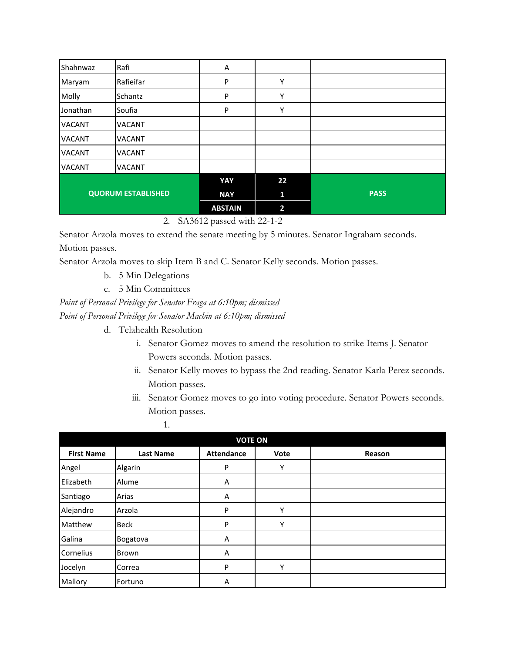| Shahnwaz                  | Rafi          | Α              |                |             |
|---------------------------|---------------|----------------|----------------|-------------|
| Maryam                    | Rafieifar     | P              | Υ              |             |
| Molly                     | Schantz       | P              | Y              |             |
| Jonathan                  | Soufia        | P              | Υ              |             |
| <b>VACANT</b>             | <b>VACANT</b> |                |                |             |
| <b>VACANT</b>             | <b>VACANT</b> |                |                |             |
| <b>VACANT</b>             | <b>VACANT</b> |                |                |             |
| <b>VACANT</b>             | <b>VACANT</b> |                |                |             |
|                           |               | YAY            | 22             |             |
| <b>QUORUM ESTABLISHED</b> |               | <b>NAY</b>     | 1              | <b>PASS</b> |
|                           |               | <b>ABSTAIN</b> | $\overline{2}$ |             |

2. SA3612 passed with 22-1-2

Senator Arzola moves to extend the senate meeting by 5 minutes. Senator Ingraham seconds. Motion passes.

Senator Arzola moves to skip Item B and C. Senator Kelly seconds. Motion passes.

- b. 5 Min Delegations
- c. 5 Min Committees

*Point of Personal Privilege for Senator Fraga at 6:10pm; dismissed Point of Personal Privilege for Senator Machin at 6:10pm; dismissed*

d. Telahealth Resolution

1.

- i. Senator Gomez moves to amend the resolution to strike Items J. Senator Powers seconds. Motion passes.
- ii. Senator Kelly moves to bypass the 2nd reading. Senator Karla Perez seconds. Motion passes.
- iii. Senator Gomez moves to go into voting procedure. Senator Powers seconds. Motion passes.

| <b>VOTE ON</b>    |                  |                   |      |        |  |  |  |
|-------------------|------------------|-------------------|------|--------|--|--|--|
| <b>First Name</b> | <b>Last Name</b> | <b>Attendance</b> | Vote | Reason |  |  |  |
| Angel             | Algarin          | P                 | Υ    |        |  |  |  |
| Elizabeth         | Alume            | Α                 |      |        |  |  |  |
| Santiago          | Arias            | Α                 |      |        |  |  |  |
| Alejandro         | Arzola           | P                 | Υ    |        |  |  |  |
| Matthew           | <b>Beck</b>      | P                 | Υ    |        |  |  |  |
| Galina            | Bogatova         | A                 |      |        |  |  |  |
| Cornelius         | Brown            | A                 |      |        |  |  |  |
| Jocelyn           | Correa           | P                 | Υ    |        |  |  |  |
| Mallory           | Fortuno          | Α                 |      |        |  |  |  |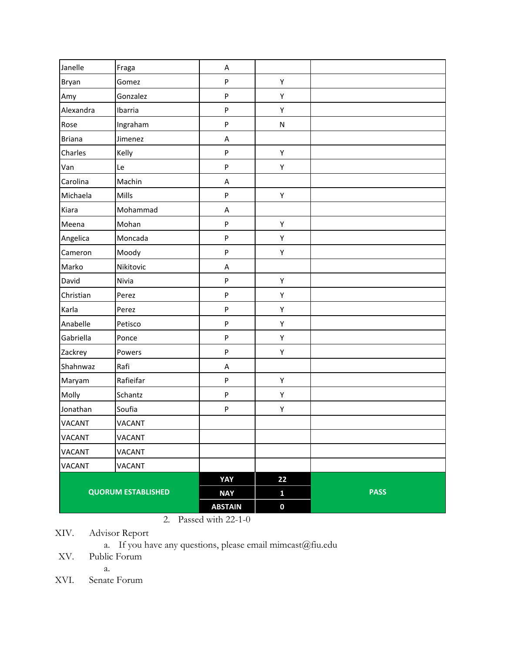| Janelle                   | Fraga         | A              |              |             |
|---------------------------|---------------|----------------|--------------|-------------|
| Bryan                     | Gomez         | ${\sf P}$      | Υ            |             |
| Amy                       | Gonzalez      | ${\sf P}$      | Υ            |             |
| Alexandra                 | Ibarria       | ${\sf P}$      | Υ            |             |
| Rose                      | Ingraham      | ${\sf P}$      | N            |             |
| <b>Briana</b>             | Jimenez       | A              |              |             |
| Charles                   | Kelly         | ${\sf P}$      | Υ            |             |
| Van                       | Le            | ${\sf P}$      | Υ            |             |
| Carolina                  | Machin        | A              |              |             |
| Michaela                  | Mills         | ${\sf P}$      | Υ            |             |
| Kiara                     | Mohammad      | A              |              |             |
| Meena                     | Mohan         | ${\sf P}$      | Υ            |             |
| Angelica                  | Moncada       | ${\sf P}$      | Υ            |             |
| Cameron                   | Moody         | ${\sf P}$      | Υ            |             |
| Marko                     | Nikitovic     | A              |              |             |
| David                     | Nivia         | ${\sf P}$      | Υ            |             |
| Christian                 | Perez         | ${\sf P}$      | Υ            |             |
| Karla                     | Perez         | ${\sf P}$      | Υ            |             |
| Anabelle                  | Petisco       | ${\sf P}$      | Υ            |             |
| Gabriella                 | Ponce         | ${\sf P}$      | Υ            |             |
| Zackrey                   | Powers        | ${\sf P}$      | Υ            |             |
| Shahnwaz                  | Rafi          | A              |              |             |
| Maryam                    | Rafieifar     | ${\sf P}$      | Υ            |             |
| Molly                     | Schantz       | ${\sf P}$      | Υ            |             |
| Jonathan                  | Soufia        | ${\sf P}$      | Υ            |             |
| <b>VACANT</b>             | <b>VACANT</b> |                |              |             |
| VACANT                    | VACANT        |                |              |             |
| <b>VACANT</b>             | <b>VACANT</b> |                |              |             |
| VACANT                    | VACANT        |                |              |             |
|                           |               | YAY            | 22           |             |
| <b>QUORUM ESTABLISHED</b> |               | <b>NAY</b>     | $\mathbf{1}$ | <b>PASS</b> |
|                           |               | <b>ABSTAIN</b> | $\pmb{0}$    |             |

2. Passed with 22-1-0

XIV. Advisor Report

a. If you have any questions, please email mimcast@fiu.edu

XV. Public Forum

a.

XVI. Senate Forum